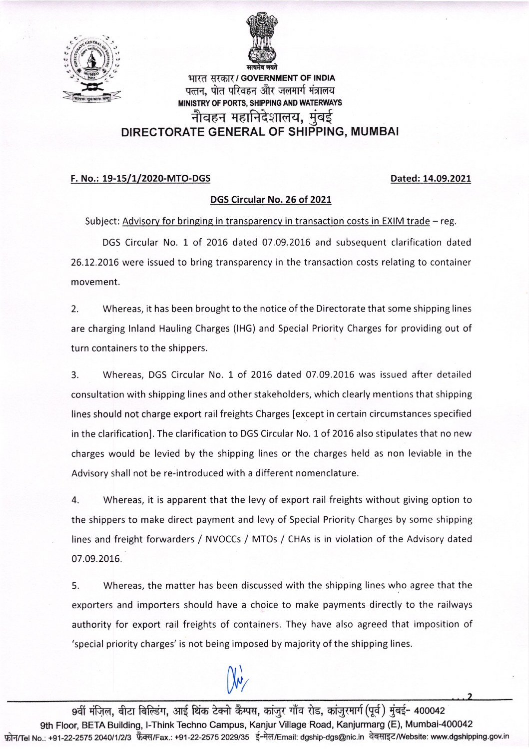



भारत सरकार / GOVERNMENT OF INDIA qr(d (|-f.6R/ GOVERNMENT OF |NDIA \--Jd- :,FE---E<-Z --rSrF!'qar qf,{, qtfl qR-q-6q fr{ ErdTfl.f {Tmq MINISTRY OF PORTS, SHIPPING AND WATERWAYS नौवहन महानिदेशालय. मंबई DIRECTORATE GENERAL OF SHIPPING, MUMBAI

## F. No.: 19-15/1/2020-MTO-DGS Dated: 14.09.2021

## DGS Circular No. 26 of 2OZL

Subject: Advisory for bringing in transparency in transaction costs in EXIM trade  $-$  reg.

DGS Circular No. 1 of 2016 dated 07.09.2016 and subsequent clarification dated 26.72.20L6 were issued to bring transparency in the transaction costs relating to container movement.

2. Whereas, it has been brought to the notice of the Directorate that some shipping lines are charging lnland Hauling Charges (lHG) and Special Priority Charges for providing out of turn containers to the shippers.

3. Whereas, DGS Circular No. 1 of 2016 dated 07.09.2016 was issued after detailed consultation with shipping lines and other stakeholders, which clearly mentions that shipping lines should not charge export rail freights Charges [except in certain circumstances specified in the clarification]. The clarification to DGS Circular No. 1 of 2016 also stipulates that no new charges would be levied by the shipping lines or the charges held as non leviable in the Advisory shall not be re-introduced with a different nomenclature.

4. Whereas, it is apparent that the levy of export rail freights without giving option to the shippers to make direct payment and levy of Special Priority Charges by some shipping lines and freight forwarders / NVOCCs / MTOs / CHAs is in violation of the Advisory dated 07.09.2016.

5. Whereas, the matter has been discussed with the shipping lines who agree that the exporters and importers should have a choice to make payments directly to the railways authority for export rail freights of containers. They have also agreed that imposition of 'special priority charges' is not being imposed by majority of the shipping lines.

 $\mathcal{N}$ ,  $\mathcal{N}$ ,  $\mathcal{N}$ ,  $\mathcal{N}$ ,  $\mathcal{N}$ ,  $\mathcal{N}$ ,  $\mathcal{N}$ ,  $\mathcal{N}$ ,  $\mathcal{N}$ ,  $\mathcal{N}$ ,  $\mathcal{N}$ ,  $\mathcal{N}$ ,  $\mathcal{N}$ ,  $\mathcal{N}$ ,  $\mathcal{N}$ ,  $\mathcal{N}$ ,  $\mathcal{N}$ ,  $\mathcal{N}$ ,  $\mathcal{N}$ ,  $\mathcal{N}$ ,  $\mathcal{N}$ ,  $\mathcal{N}$ ,